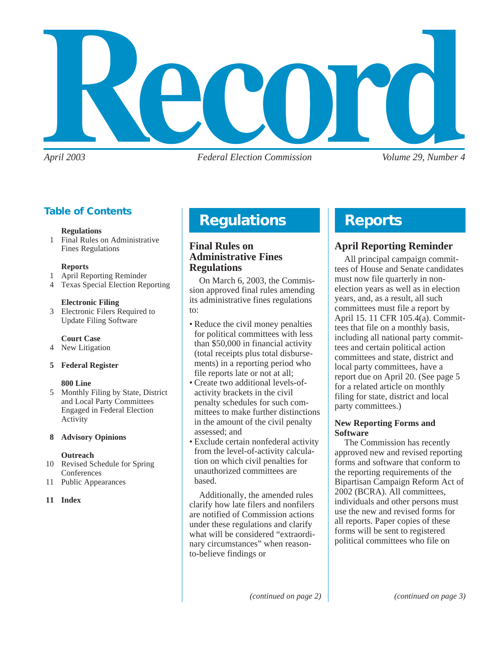

*April 2003 Federal Election Commission Volume 29, Number 4*

# **Table of Contents**

#### **Regulations**

1 Final Rules on Administrative Fines Regulations

#### **Reports**

- 1 April Reporting Reminder
- 4 Texas Special Election Reporting

#### **Electronic Filing**

3 Electronic Filers Required to Update Filing Software

#### **Court Case**

4 New Litigation

#### **5 Federal Register**

#### **800 Line**

5 Monthly Filing by State, District and Local Party Committees Engaged in Federal Election Activity

#### **8 Advisory Opinions**

#### **Outreach**

- 10 Revised Schedule for Spring **Conferences**
- 11 Public Appearances

#### **11 Index**

# **Regulations**

## **Final Rules on Administrative Fines Regulations**

On March 6, 2003, the Commission approved final rules amending its administrative fines regulations to:

- Reduce the civil money penalties for political committees with less than \$50,000 in financial activity (total receipts plus total disbursements) in a reporting period who file reports late or not at all;
- Create two additional levels-ofactivity brackets in the civil penalty schedules for such committees to make further distinctions in the amount of the civil penalty assessed; and
- Exclude certain nonfederal activity from the level-of-activity calculation on which civil penalties for unauthorized committees are based.

Additionally, the amended rules clarify how late filers and nonfilers are notified of Commission actions under these regulations and clarify what will be considered "extraordinary circumstances" when reasonto-believe findings or

# **Reports**

# **April Reporting Reminder**

All principal campaign committees of House and Senate candidates must now file quarterly in nonelection years as well as in election years, and, as a result, all such committees must file a report by April 15. 11 CFR 105.4(a). Committees that file on a monthly basis, including all national party committees and certain political action committees and state, district and local party committees, have a report due on April 20. (See page 5 for a related article on monthly filing for state, district and local party committees.)

#### **New Reporting Forms and Software**

The Commission has recently approved new and revised reporting forms and software that conform to the reporting requirements of the Bipartisan Campaign Reform Act of 2002 (BCRA). All committees, individuals and other persons must use the new and revised forms for all reports. Paper copies of these forms will be sent to registered political committees who file on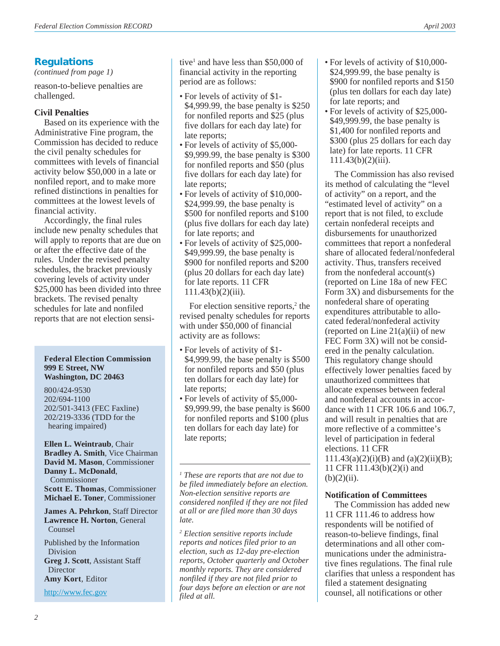## **Regulations**

*(continued from page 1)*

reason-to-believe penalties are challenged.

### **Civil Penalties**

Based on its experience with the Administrative Fine program, the Commission has decided to reduce the civil penalty schedules for committees with levels of financial activity below \$50,000 in a late or nonfiled report, and to make more refined distinctions in penalties for committees at the lowest levels of financial activity.

Accordingly, the final rules include new penalty schedules that will apply to reports that are due on or after the effective date of the rules. Under the revised penalty schedules, the bracket previously covering levels of activity under \$25,000 has been divided into three brackets. The revised penalty schedules for late and nonfiled reports that are not election sensi-

#### **Federal Election Commission 999 E Street, NW Washington, DC 20463**

800/424-9530 202/694-1100 202/501-3413 (FEC Faxline) 202/219-3336 (TDD for the hearing impaired)

**Ellen L. Weintraub**, Chair **Bradley A. Smith**, Vice Chairman **David M. Mason**, Commissioner **Danny L. McDonald**, Commissioner **Scott E. Thomas**, Commissioner **Michael E. Toner**, Commissioner

**James A. Pehrkon**, Staff Director **Lawrence H. Norton**, General Counsel

Published by the Information Division **Greg J. Scott**, Assistant Staff Director **Amy Kort**, Editor

<http://www.fec.gov>

tive<sup>1</sup> and have less than \$50,000 of financial activity in the reporting period are as follows:

- For levels of activity of \$1- \$4,999.99, the base penalty is \$250 for nonfiled reports and \$25 (plus five dollars for each day late) for late reports;
- For levels of activity of \$5,000- \$9,999.99, the base penalty is \$300 for nonfiled reports and \$50 (plus five dollars for each day late) for late reports;
- For levels of activity of \$10,000- \$24,999.99, the base penalty is \$500 for nonfiled reports and \$100 (plus five dollars for each day late) for late reports; and
- For levels of activity of \$25,000- \$49,999.99, the base penalty is \$900 for nonfiled reports and \$200 (plus 20 dollars for each day late) for late reports. 11 CFR  $111.43(b)(2)(iii)$ .

For election sensitive reports,<sup>2</sup> the revised penalty schedules for reports with under \$50,000 of financial activity are as follows:

- For levels of activity of \$1- \$4,999.99, the base penalty is \$500 for nonfiled reports and \$50 (plus ten dollars for each day late) for late reports;
- For levels of activity of \$5,000- \$9,999.99, the base penalty is \$600 for nonfiled reports and \$100 (plus ten dollars for each day late) for late reports;

*1 These are reports that are not due to be filed immediately before an election. Non-election sensitive reports are considered nonfiled if they are not filed at all or are filed more than 30 days late.*

*<sup>2</sup> Election sensitive reports include reports and notices filed prior to an election, such as 12-day pre-election reports, October quarterly and October monthly reports. They are considered nonfiled if they are not filed prior to four days before an election or are not filed at all.*

- For levels of activity of \$10,000- \$24,999.99, the base penalty is \$900 for nonfiled reports and \$150 (plus ten dollars for each day late) for late reports; and
- For levels of activity of \$25,000- \$49,999.99, the base penalty is \$1,400 for nonfiled reports and \$300 (plus 25 dollars for each day late) for late reports. 11 CFR  $111.43(b)(2)(iii)$ .

The Commission has also revised its method of calculating the "level of activity" on a report, and the "estimated level of activity" on a report that is not filed, to exclude certain nonfederal receipts and disbursements for unauthorized committees that report a nonfederal share of allocated federal/nonfederal activity. Thus, transfers received from the nonfederal account(s) (reported on Line 18a of new FEC Form 3X) and disbursements for the nonfederal share of operating expenditures attributable to allocated federal/nonfederal activity (reported on Line  $21(a)(ii)$  of new FEC Form 3X) will not be considered in the penalty calculation. This regulatory change should effectively lower penalties faced by unauthorized committees that allocate expenses between federal and nonfederal accounts in accordance with 11 CFR 106.6 and 106.7, and will result in penalties that are more reflective of a committee's level of participation in federal elections. 11 CFR  $111.43(a)(2)(i)(B)$  and  $(a)(2)(ii)(B);$ 11 CFR 111.43(b)(2)(i) and  $(b)(2)(ii)$ .

#### **Notification of Committees**

The Commission has added new 11 CFR 111.46 to address how respondents will be notified of reason-to-believe findings, final determinations and all other communications under the administrative fines regulations. The final rule clarifies that unless a respondent has filed a statement designating counsel, all notifications or other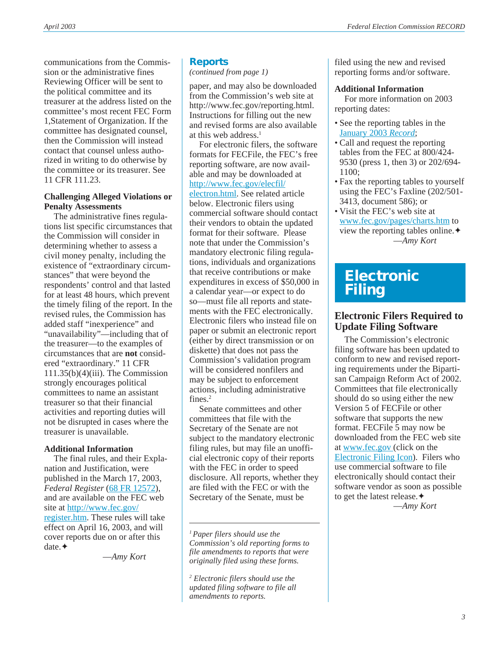communications from the Commission or the administrative fines Reviewing Officer will be sent to the political committee and its treasurer at the address listed on the committee's most recent FEC Form 1,Statement of Organization. If the committee has designated counsel, then the Commission will instead contact that counsel unless authorized in writing to do otherwise by the committee or its treasurer. See 11 CFR 111.23.

## **Challenging Alleged Violations or Penalty Assessments**

The administrative fines regulations list specific circumstances that the Commission will consider in determining whether to assess a civil money penalty, including the existence of "extraordinary circumstances" that were beyond the respondents' control and that lasted for at least 48 hours, which prevent the timely filing of the report. In the revised rules, the Commission has added staff "inexperience" and "unavailability"—including that of the treasurer—to the examples of circumstances that are **not** considered "extraordinary." 11 CFR 111.35(b)(4)(iii). The Commission strongly encourages political committees to name an assistant treasurer so that their financial activities and reporting duties will not be disrupted in cases where the treasurer is unavailable.

# **Additional Information**

The final rules, and their Explanation and Justification, were published in the March 17, 2003, *Federal Register* ([68 FR 12572\)](http://www.fec.gov/pdf/nprm/admin_fines_2/fr68n051p12572.pdf), and are available on the FEC web site at [http://www.fec.gov/](http://www.fec.gov/register.htm) [register.htm](http://www.fec.gov/register.htm). These rules will take effect on April 16, 2003, and will cover reports due on or after this date.✦

—*Amy Kort*

### **Reports**

*(continued from page 1)*

paper, and may also be downloaded from the Commission's web site at http://www.fec.gov/reporting.html. Instructions for filling out the new and revised forms are also available at this web address.<sup>1</sup>

For electronic filers, the software formats for FECFile, the FEC's free reporting software, are now available and may be downloaded at [http://www.fec.gov/elecfil/](http://www.fec.gov/elecfil/electron.html) [electron.html.](http://www.fec.gov/elecfil/electron.html) See related article below. Electronic filers using commercial software should contact their vendors to obtain the updated format for their software. Please note that under the Commission's mandatory electronic filing regulations, individuals and organizations that receive contributions or make expenditures in excess of \$50,000 in a calendar year—or expect to do so—must file all reports and statements with the FEC electronically. Electronic filers who instead file on paper or submit an electronic report (either by direct transmission or on diskette) that does not pass the Commission's validation program will be considered nonfilers and may be subject to enforcement actions, including administrative fines $2$ 

Senate committees and other committees that file with the Secretary of the Senate are not subject to the mandatory electronic filing rules, but may file an unofficial electronic copy of their reports with the FEC in order to speed disclosure. All reports, whether they are filed with the FEC or with the Secretary of the Senate, must be

*1 Paper filers should use the Commission's old reporting forms to file amendments to reports that were originally filed using these forms.*

*<sup>2</sup> Electronic filers should use the updated filing software to file all amendments to reports.*

filed using the new and revised reporting forms and/or software.

#### **Additional Information**

For more information on 2003 reporting dates:

- See the reporting tables in the [January 2003](http://www.fec.gov/pdf/jan03.pdf) *Record*;
- Call and request the reporting tables from the FEC at 800/424- 9530 (press 1, then 3) or 202/694- 1100;
- Fax the reporting tables to yourself using the FEC's Faxline (202/501- 3413, document 586); or
- Visit the FEC's web site at [www.fec.gov/pages/charts.htm](http://www.fec.gov/pages/charts.htm) to view the reporting tables online.✦ —*Amy Kort*

# **Electronic Filing**

# **Electronic Filers Required to Update Filing Software**

The Commission's electronic filing software has been updated to conform to new and revised reporting requirements under the Bipartisan Campaign Reform Act of 2002. Committees that file electronically should do so using either the new Version 5 of FECFile or other software that supports the new format. FECFile 5 may now be downloaded from the FEC web site at [www.fec.gov \(](http://www.fec.gov)click on the [Electronic Filing Icon\)](http://www.fec.gov/elecfil/electron.html). Filers who use commercial software to file electronically should contact their software vendor as soon as possible to get the latest release.✦

—*Amy Kort*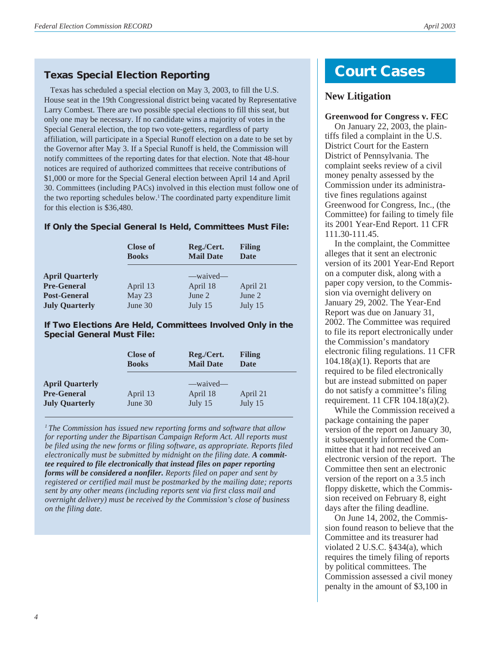### **Texas Special Election Reporting**

 Texas has scheduled a special election on May 3, 2003, to fill the U.S. House seat in the 19th Congressional district being vacated by Representative Larry Combest. There are two possible special elections to fill this seat, but only one may be necessary. If no candidate wins a majority of votes in the Special General election, the top two vote-getters, regardless of party affiliation, will participate in a Special Runoff election on a date to be set by the Governor after May 3. If a Special Runoff is held, the Commission will notify committees of the reporting dates for that election. Note that 48-hour notices are required of authorized committees that receive contributions of \$1,000 or more for the Special General election between April 14 and April 30. Committees (including PACs) involved in this election must follow one of the two reporting schedules below.<sup>1</sup> The coordinated party expenditure limit for this election is \$36,480.

#### **If Only the Special General Is Held, Committees Must File:**

|                        | <b>Close of</b><br><b>Books</b> | Reg./Cert.<br><b>Mail Date</b> | <b>Filing</b><br><b>Date</b> |
|------------------------|---------------------------------|--------------------------------|------------------------------|
| <b>April Quarterly</b> |                                 | -waived-                       |                              |
| <b>Pre-General</b>     | April 13                        | April 18                       | April 21                     |
| <b>Post-General</b>    | May 23                          | June 2                         | June 2                       |
| <b>July Quarterly</b>  | June 30                         | July 15                        | July 15                      |

#### **If Two Elections Are Held, Committees Involved Only in the Special General Must File:**

|                                                                       | <b>Close of</b>     | Reg./Cert.                      | Filing              |
|-----------------------------------------------------------------------|---------------------|---------------------------------|---------------------|
|                                                                       | <b>Books</b>        | <b>Mail Date</b>                | <b>Date</b>         |
| <b>April Quarterly</b><br><b>Pre-General</b><br><b>July Quarterly</b> | April 13<br>June 30 | —waived—<br>April 18<br>July 15 | April 21<br>July 15 |

*<sup>1</sup> The Commission has issued new reporting forms and software that allow for reporting under the Bipartisan Campaign Reform Act. All reports must be filed using the new forms or filing software, as appropriate. Reports filed electronically must be submitted by midnight on the filing date. A committee required to file electronically that instead files on paper reporting forms will be considered a nonfiler. Reports filed on paper and sent by registered or certified mail must be postmarked by the mailing date; reports sent by any other means (including reports sent via first class mail and overnight delivery) must be received by the Commission's close of business on the filing date.*

# **Court Cases**

## **New Litigation**

#### **Greenwood for Congress v. FEC**

On January 22, 2003, the plaintiffs filed a complaint in the U.S. District Court for the Eastern District of Pennsylvania. The complaint seeks review of a civil money penalty assessed by the Commission under its administrative fines regulations against Greenwood for Congress, Inc., (the Committee) for failing to timely file its 2001 Year-End Report. 11 CFR 111.30-111.45.

In the complaint, the Committee alleges that it sent an electronic version of its 2001 Year-End Report on a computer disk, along with a paper copy version, to the Commission via overnight delivery on January 29, 2002. The Year-End Report was due on January 31, 2002. The Committee was required to file its report electronically under the Commission's mandatory electronic filing regulations. 11 CFR  $104.18(a)(1)$ . Reports that are required to be filed electronically but are instead submitted on paper do not satisfy a committee's filing requirement. 11 CFR 104.18(a)(2).

While the Commission received a package containing the paper version of the report on January 30, it subsequently informed the Committee that it had not received an electronic version of the report. The Committee then sent an electronic version of the report on a 3.5 inch floppy diskette, which the Commission received on February 8, eight days after the filing deadline.

On June 14, 2002, the Commission found reason to believe that the Committee and its treasurer had violated 2 U.S.C. §434(a), which requires the timely filing of reports by political committees. The Commission assessed a civil money penalty in the amount of \$3,100 in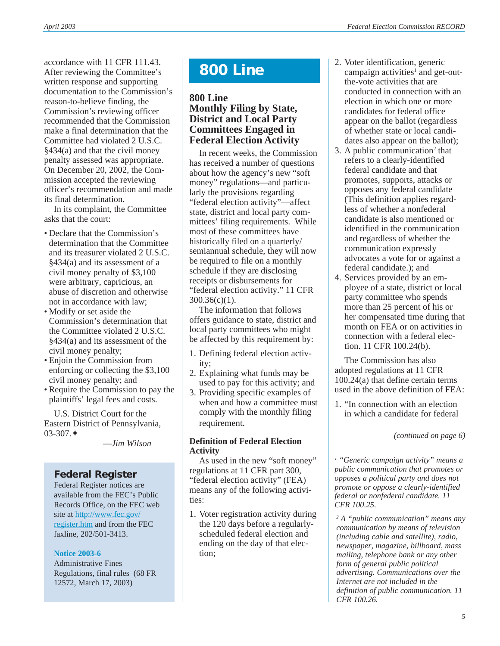accordance with 11 CFR 111.43. After reviewing the Committee's written response and supporting documentation to the Commission's reason-to-believe finding, the Commission's reviewing officer recommended that the Commission make a final determination that the Committee had violated 2 U.S.C. §434(a) and that the civil money penalty assessed was appropriate. On December 20, 2002, the Commission accepted the reviewing officer's recommendation and made its final determination.

In its complaint, the Committee asks that the court:

- Declare that the Commission's determination that the Committee and its treasurer violated 2 U.S.C. §434(a) and its assessment of a civil money penalty of \$3,100 were arbitrary, capricious, an abuse of discretion and otherwise not in accordance with law;
- Modify or set aside the Commission's determination that the Committee violated 2 U.S.C. §434(a) and its assessment of the civil money penalty;
- Enjoin the Commission from enforcing or collecting the \$3,100 civil money penalty; and
- Require the Commission to pay the plaintiffs' legal fees and costs.

U.S. District Court for the Eastern District of Pennsylvania,  $03-307$   $\triangleq$ 

—*Jim Wilson*

## **Federal Register**

Federal Register notices are available from the FEC's Public Records Office, on the FEC web site at [http://www.fec.gov/](http://www.fec.gov/register.htm) [register.htm](http://www.fec.gov/register.htm) and from the FEC faxline, 202/501-3413.

#### **[Notice 2003-6](http://www.fec.gov/pdf/nprm/admin_fines_2/fr68n051p12572.pdf)**

Administrative Fines Regulations, final rules (68 FR 12572, March 17, 2003)

# **800 Line**

## **800 Line Monthly Filing by State, District and Local Party Committees Engaged in Federal Election Activity**

In recent weeks, the Commission has received a number of questions about how the agency's new "soft money" regulations—and particularly the provisions regarding "federal election activity"—affect state, district and local party committees' filing requirements. While most of these committees have historically filed on a quarterly/ semiannual schedule, they will now be required to file on a monthly schedule if they are disclosing receipts or disbursements for "federal election activity." 11 CFR 300.36(c)(1).

The information that follows offers guidance to state, district and local party committees who might be affected by this requirement by:

- 1. Defining federal election activity;
- 2. Explaining what funds may be used to pay for this activity; and
- 3. Providing specific examples of when and how a committee must comply with the monthly filing requirement.

#### **Definition of Federal Election Activity**

As used in the new "soft money" regulations at 11 CFR part 300, "federal election activity" (FEA) means any of the following activities:

1. Voter registration activity during the 120 days before a regularlyscheduled federal election and ending on the day of that election;

- 2. Voter identification, generic campaign activities<sup>1</sup> and get-outthe-vote activities that are conducted in connection with an election in which one or more candidates for federal office appear on the ballot (regardless of whether state or local candidates also appear on the ballot);
- 3. A public communication<sup>2</sup> that refers to a clearly-identified federal candidate and that promotes, supports, attacks or opposes any federal candidate (This definition applies regardless of whether a nonfederal candidate is also mentioned or identified in the communication and regardless of whether the communication expressly advocates a vote for or against a federal candidate.); and
- 4. Services provided by an employee of a state, district or local party committee who spends more than 25 percent of his or her compensated time during that month on FEA or on activities in connection with a federal election. 11 CFR 100.24(b).

The Commission has also adopted regulations at 11 CFR 100.24(a) that define certain terms used in the above definition of FEA:

1. "In connection with an election in which a candidate for federal

*(continued on page 6)*

*<sup>1</sup> "Generic campaign activity" means a public communication that promotes or opposes a political party and does not promote or oppose a clearly-identified federal or nonfederal candidate. 11 CFR 100.25.*

*<sup>2</sup> A "public communication" means any communication by means of television (including cable and satellite), radio, newspaper, magazine, billboard, mass mailing, telephone bank or any other form of general public political advertising. Communications over the Internet are not included in the definition of public communication. 11 CFR 100.26.*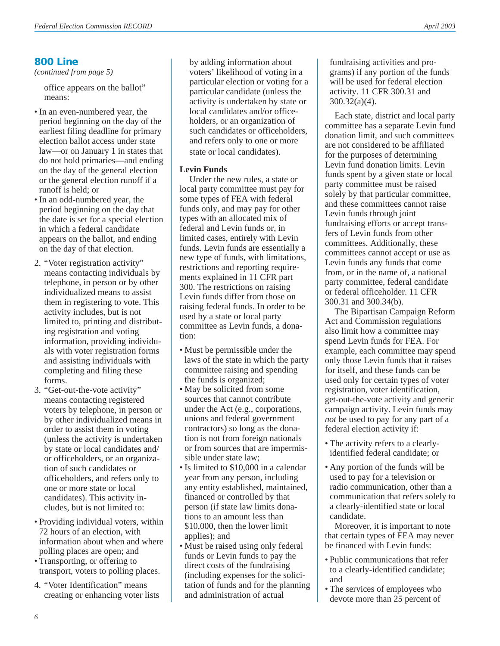## **800 Line**

*(continued from page 5)*

office appears on the ballot" means:

- In an even-numbered year, the period beginning on the day of the earliest filing deadline for primary election ballot access under state law—or on January 1 in states that do not hold primaries—and ending on the day of the general election or the general election runoff if a runoff is held; or
- In an odd-numbered year, the period beginning on the day that the date is set for a special election in which a federal candidate appears on the ballot, and ending on the day of that election.
- 2. "Voter registration activity" means contacting individuals by telephone, in person or by other individualized means to assist them in registering to vote. This activity includes, but is not limited to, printing and distributing registration and voting information, providing individuals with voter registration forms and assisting individuals with completing and filing these forms.
- 3. "Get-out-the-vote activity" means contacting registered voters by telephone, in person or by other individualized means in order to assist them in voting (unless the activity is undertaken by state or local candidates and/ or officeholders, or an organization of such candidates or officeholders, and refers only to one or more state or local candidates). This activity includes, but is not limited to:
- Providing individual voters, within 72 hours of an election, with information about when and where polling places are open; and
- Transporting, or offering to transport, voters to polling places.
- 4. "Voter Identification" means creating or enhancing voter lists

by adding information about voters' likelihood of voting in a particular election or voting for a particular candidate (unless the activity is undertaken by state or local candidates and/or officeholders, or an organization of such candidates or officeholders, and refers only to one or more state or local candidates).

### **Levin Funds**

Under the new rules, a state or local party committee must pay for some types of FEA with federal funds only, and may pay for other types with an allocated mix of federal and Levin funds or, in limited cases, entirely with Levin funds. Levin funds are essentially a new type of funds, with limitations, restrictions and reporting requirements explained in 11 CFR part 300. The restrictions on raising Levin funds differ from those on raising federal funds. In order to be used by a state or local party committee as Levin funds, a donation:

- Must be permissible under the laws of the state in which the party committee raising and spending the funds is organized;
- May be solicited from some sources that cannot contribute under the Act (e.g., corporations, unions and federal government contractors) so long as the donation is not from foreign nationals or from sources that are impermissible under state law;
- Is limited to \$10,000 in a calendar year from any person, including any entity established, maintained, financed or controlled by that person (if state law limits donations to an amount less than \$10,000, then the lower limit applies); and
- Must be raised using only federal funds or Levin funds to pay the direct costs of the fundraising (including expenses for the solicitation of funds and for the planning and administration of actual

fundraising activities and programs) if any portion of the funds will be used for federal election activity. 11 CFR 300.31 and 300.32(a)(4).

Each state, district and local party committee has a separate Levin fund donation limit, and such committees are not considered to be affiliated for the purposes of determining Levin fund donation limits. Levin funds spent by a given state or local party committee must be raised solely by that particular committee, and these committees cannot raise Levin funds through joint fundraising efforts or accept transfers of Levin funds from other committees. Additionally, these committees cannot accept or use as Levin funds any funds that come from, or in the name of, a national party committee, federal candidate or federal officeholder. 11 CFR 300.31 and 300.34(b).

The Bipartisan Campaign Reform Act and Commission regulations also limit how a committee may spend Levin funds for FEA. For example, each committee may spend only those Levin funds that it raises for itself, and these funds can be used only for certain types of voter registration, voter identification, get-out-the-vote activity and generic campaign activity. Levin funds may *not* be used to pay for any part of a federal election activity if:

- The activity refers to a clearlyidentified federal candidate; or
- Any portion of the funds will be used to pay for a television or radio communication, other than a communication that refers solely to a clearly-identified state or local candidate.

Moreover, it is important to note that certain types of FEA may never be financed with Levin funds:

- Public communications that refer to a clearly-identified candidate; and
- The services of employees who devote more than 25 percent of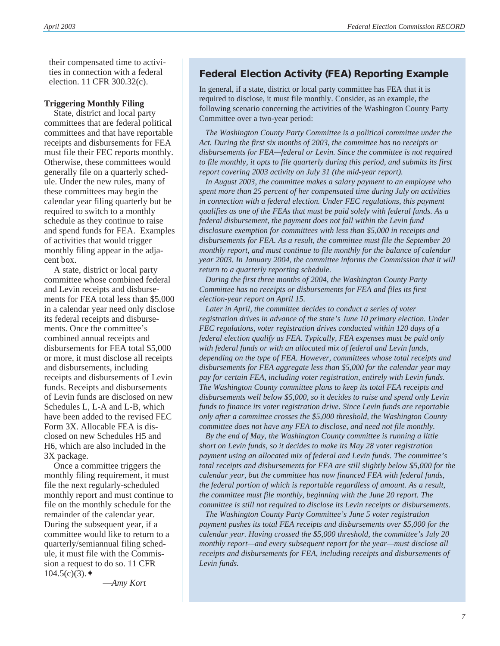their compensated time to activities in connection with a federal election. 11 CFR 300.32(c).

#### **Triggering Monthly Filing**

State, district and local party committees that are federal political committees and that have reportable receipts and disbursements for FEA must file their FEC reports monthly. Otherwise, these committees would generally file on a quarterly schedule. Under the new rules, many of these committees may begin the calendar year filing quarterly but be required to switch to a monthly schedule as they continue to raise and spend funds for FEA. Examples of activities that would trigger monthly filing appear in the adjacent box.

A state, district or local party committee whose combined federal and Levin receipts and disbursements for FEA total less than \$5,000 in a calendar year need only disclose its federal receipts and disbursements. Once the committee's combined annual receipts and disbursements for FEA total \$5,000 or more, it must disclose all receipts and disbursements, including receipts and disbursements of Levin funds. Receipts and disbursements of Levin funds are disclosed on new Schedules L, L-A and L-B, which have been added to the revised FEC Form 3X. Allocable FEA is disclosed on new Schedules H5 and H6, which are also included in the 3X package.

Once a committee triggers the monthly filing requirement, it must file the next regularly-scheduled monthly report and must continue to file on the monthly schedule for the remainder of the calendar year. During the subsequent year, if a committee would like to return to a quarterly/semiannual filing schedule, it must file with the Commission a request to do so. 11 CFR  $104.5(c)(3)$ .

—*Amy Kort*

## **Federal Election Activity (FEA) Reporting Example**

In general, if a state, district or local party committee has FEA that it is required to disclose, it must file monthly. Consider, as an example, the following scenario concerning the activities of the Washington County Party Committee over a two-year period:

*The Washington County Party Committee is a political committee under the Act. During the first six months of 2003, the committee has no receipts or disbursements for FEA—federal or Levin. Since the committee is not required to file monthly, it opts to file quarterly during this period, and submits its first report covering 2003 activity on July 31 (the mid-year report).*

 *In August 2003, the committee makes a salary payment to an employee who spent more than 25 percent of her compensated time during July on activities in connection with a federal election. Under FEC regulations, this payment qualifies as one of the FEAs that must be paid solely with federal funds. As a federal disbursement, the payment does not fall within the Levin fund disclosure exemption for committees with less than \$5,000 in receipts and disbursements for FEA. As a result, the committee must file the September 20 monthly report, and must continue to file monthly for the balance of calendar year 2003. In January 2004, the committee informs the Commission that it will return to a quarterly reporting schedule.*

*During the first three months of 2004, the Washington County Party Committee has no receipts or disbursements for FEA and files its first election-year report on April 15.*

 *Later in April, the committee decides to conduct a series of voter registration drives in advance of the state's June 10 primary election. Under FEC regulations, voter registration drives conducted within 120 days of a federal election qualify as FEA. Typically, FEA expenses must be paid only with federal funds or with an allocated mix of federal and Levin funds, depending on the type of FEA. However, committees whose total receipts and disbursements for FEA aggregate less than \$5,000 for the calendar year may pay for certain FEA, including voter registration, entirely with Levin funds. The Washington County committee plans to keep its total FEA receipts and disbursements well below \$5,000, so it decides to raise and spend only Levin funds to finance its voter registration drive. Since Levin funds are reportable only after a committee crosses the \$5,000 threshold, the Washington County committee does not have any FEA to disclose, and need not file monthly.*

 *By the end of May, the Washington County committee is running a little short on Levin funds, so it decides to make its May 28 voter registration payment using an allocated mix of federal and Levin funds. The committee's total receipts and disbursements for FEA are still slightly below \$5,000 for the calendar year, but the committee has now financed FEA with federal funds, the federal portion of which is reportable regardless of amount. As a result, the committee must file monthly, beginning with the June 20 report. The committee is still not required to disclose its Levin receipts or disbursements.*

*The Washington County Party Committee's June 5 voter registration payment pushes its total FEA receipts and disbursements over \$5,000 for the calendar year. Having crossed the \$5,000 threshold, the committee's July 20 monthly report—and every subsequent report for the year—must disclose all receipts and disbursements for FEA, including receipts and disbursements of Levin funds.*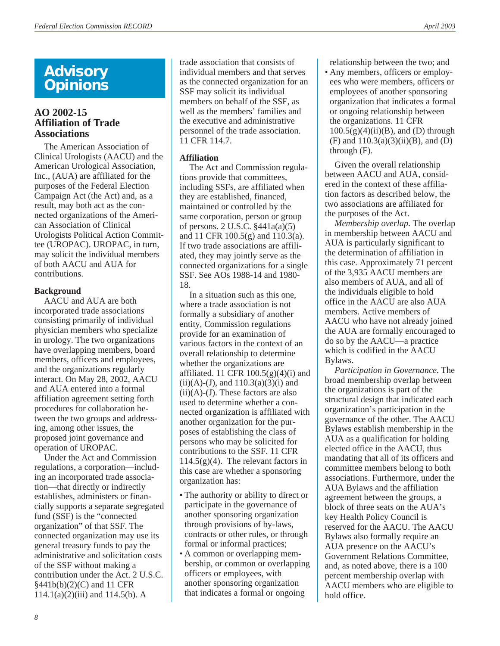# **Advisory Opinions**

## **AO 2002-15 Affiliation of Trade Associations**

The American Association of Clinical Urologists (AACU) and the American Urological Association, Inc., (AUA) are affiliated for the purposes of the Federal Election Campaign Act (the Act) and, as a result, may both act as the connected organizations of the American Association of Clinical Urologists Political Action Committee (UROPAC). UROPAC, in turn, may solicit the individual members of both AACU and AUA for contributions.

#### **Background**

AACU and AUA are both incorporated trade associations consisting primarily of individual physician members who specialize in urology. The two organizations have overlapping members, board members, officers and employees, and the organizations regularly interact. On May 28, 2002, AACU and AUA entered into a formal affiliation agreement setting forth procedures for collaboration between the two groups and addressing, among other issues, the proposed joint governance and operation of UROPAC.

Under the Act and Commission regulations, a corporation—including an incorporated trade association—that directly or indirectly establishes, administers or financially supports a separate segregated fund (SSF) is the "connected organization" of that SSF. The connected organization may use its general treasury funds to pay the administrative and solicitation costs of the SSF without making a contribution under the Act. 2 U.S.C. §441b(b)(2)(C) and 11 CFR  $114.1(a)(2)(iii)$  and  $114.5(b)$ . A

trade association that consists of individual members and that serves as the connected organization for an SSF may solicit its individual members on behalf of the SSF, as well as the members' families and the executive and administrative personnel of the trade association. 11 CFR 114.7.

### **Affiliation**

The Act and Commission regulations provide that committees, including SSFs, are affiliated when they are established, financed, maintained or controlled by the same corporation, person or group of persons. 2 U.S.C. §441a(a)(5) and 11 CFR 100.5(g) and 110.3(a). If two trade associations are affiliated, they may jointly serve as the connected organizations for a single SSF. See AOs 1988-14 and 1980- 18.

In a situation such as this one, where a trade association is not formally a subsidiary of another entity, Commission regulations provide for an examination of various factors in the context of an overall relationship to determine whether the organizations are affiliated. 11 CFR  $100.5(g)(4)(i)$  and  $(ii)(A)-(J)$ , and  $110.3(a)(3)(i)$  and  $(ii)(A)-(J)$ . These factors are also used to determine whether a connected organization is affiliated with another organization for the purposes of establishing the class of persons who may be solicited for contributions to the SSF. 11 CFR  $114.5(g)(4)$ . The relevant factors in this case are whether a sponsoring organization has:

- The authority or ability to direct or participate in the governance of another sponsoring organization through provisions of by-laws, contracts or other rules, or through formal or informal practices;
- A common or overlapping membership, or common or overlapping officers or employees, with another sponsoring organization that indicates a formal or ongoing

relationship between the two; and

• Any members, officers or employees who were members, officers or employees of another sponsoring organization that indicates a formal or ongoing relationship between the organizations. 11 CFR  $100.5(g)(4)(ii)(B)$ , and (D) through (F) and  $110.3(a)(3)(ii)(B)$ , and (D) through (F).

Given the overall relationship between AACU and AUA, considered in the context of these affiliation factors as described below, the two associations are affiliated for the purposes of the Act.

*Membership overlap*. The overlap in membership between AACU and AUA is particularly significant to the determination of affiliation in this case. Approximately 71 percent of the 3,935 AACU members are also members of AUA, and all of the individuals eligible to hold office in the AACU are also AUA members. Active members of AACU who have not already joined the AUA are formally encouraged to do so by the AACU—a practice which is codified in the AACU Bylaws.

*Participation in Governance*. The broad membership overlap between the organizations is part of the structural design that indicated each organization's participation in the governance of the other. The AACU Bylaws establish membership in the AUA as a qualification for holding elected office in the AACU, thus mandating that all of its officers and committee members belong to both associations. Furthermore, under the AUA Bylaws and the affiliation agreement between the groups, a block of three seats on the AUA's key Health Policy Council is reserved for the AACU. The AACU Bylaws also formally require an AUA presence on the AACU's Government Relations Committee, and, as noted above, there is a 100 percent membership overlap with AACU members who are eligible to hold office.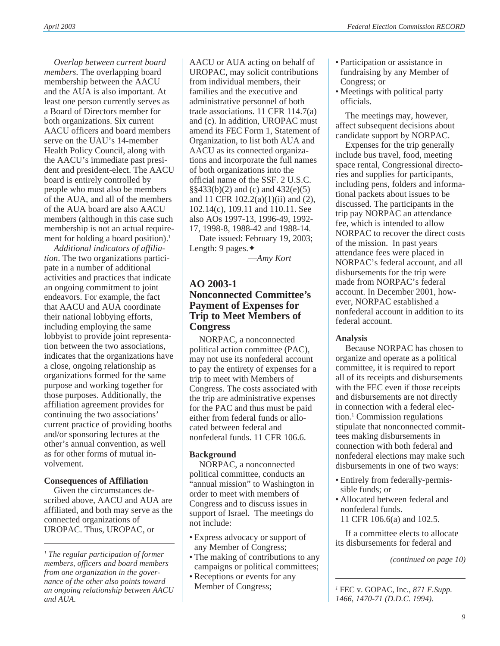*Overlap between current board members*. The overlapping board membership between the AACU and the AUA is also important. At least one person currently serves as a Board of Directors member for both organizations. Six current AACU officers and board members serve on the UAU's 14-member Health Policy Council, along with the AACU's immediate past president and president-elect. The AACU board is entirely controlled by people who must also be members of the AUA, and all of the members of the AUA board are also AACU members (although in this case such membership is not an actual requirement for holding a board position).<sup>1</sup>

*Additional indicators of affiliation*. The two organizations participate in a number of additional activities and practices that indicate an ongoing commitment to joint endeavors. For example, the fact that AACU and AUA coordinate their national lobbying efforts, including employing the same lobbyist to provide joint representation between the two associations, indicates that the organizations have a close, ongoing relationship as organizations formed for the same purpose and working together for those purposes. Additionally, the affiliation agreement provides for continuing the two associations' current practice of providing booths and/or sponsoring lectures at the other's annual convention, as well as for other forms of mutual involvement.

## **Consequences of Affiliation**

Given the circumstances described above, AACU and AUA are affiliated, and both may serve as the connected organizations of UROPAC. Thus, UROPAC, or

AACU or AUA acting on behalf of UROPAC, may solicit contributions from individual members, their families and the executive and administrative personnel of both trade associations. 11 CFR 114.7(a) and (c). In addition, UROPAC must amend its FEC Form 1, Statement of Organization, to list both AUA and AACU as its connected organizations and incorporate the full names of both organizations into the official name of the SSF. 2 U.S.C. §§433(b)(2) and (c) and 432(e)(5) and 11 CFR 102.2(a)(1)(ii) and (2), 102.14(c), 109.11 and 110.11. See also AOs 1997-13, 1996-49, 1992- 17, 1998-8, 1988-42 and 1988-14.

Date issued: February 19, 2003; Length: 9 pages.✦

—*Amy Kort*

## **AO 2003-1 Nonconnected Committee's Payment of Expenses for Trip to Meet Members of Congress**

NORPAC, a nonconnected political action committee (PAC), may not use its nonfederal account to pay the entirety of expenses for a trip to meet with Members of Congress. The costs associated with the trip are administrative expenses for the PAC and thus must be paid either from federal funds or allocated between federal and nonfederal funds. 11 CFR 106.6.

## **Background**

NORPAC, a nonconnected political committee, conducts an "annual mission" to Washington in order to meet with members of Congress and to discuss issues in support of Israel. The meetings do not include:

- Express advocacy or support of any Member of Congress;
- The making of contributions to any campaigns or political committees;
- Receptions or events for any Member of Congress;
- Participation or assistance in fundraising by any Member of Congress; or
- Meetings with political party officials.

The meetings may, however, affect subsequent decisions about candidate support by NORPAC.

Expenses for the trip generally include bus travel, food, meeting space rental, Congressional directories and supplies for participants, including pens, folders and informational packets about issues to be discussed. The participants in the trip pay NORPAC an attendance fee, which is intended to allow NORPAC to recover the direct costs of the mission. In past years attendance fees were placed in NORPAC's federal account, and all disbursements for the trip were made from NORPAC's federal account. In December 2001, however, NORPAC established a nonfederal account in addition to its federal account.

## **Analysis**

Because NORPAC has chosen to organize and operate as a political committee, it is required to report all of its receipts and disbursements with the FEC even if those receipts and disbursements are not directly in connection with a federal election.1 Commission regulations stipulate that nonconnected committees making disbursements in connection with both federal and nonfederal elections may make such disbursements in one of two ways:

- Entirely from federally-permissible funds; or
- Allocated between federal and nonfederal funds. 11 CFR 106.6(a) and 102.5.

If a committee elects to allocate its disbursements for federal and

*(continued on page 10)*

*<sup>1</sup> The regular participation of former members, officers and board members from one organization in the governance of the other also points toward an ongoing relationship between AACU and AUA.*

*<sup>1</sup>* FEC v. GOPAC, Inc.*, 871 F.Supp. 1466, 1470-71 (D.D.C. 1994).*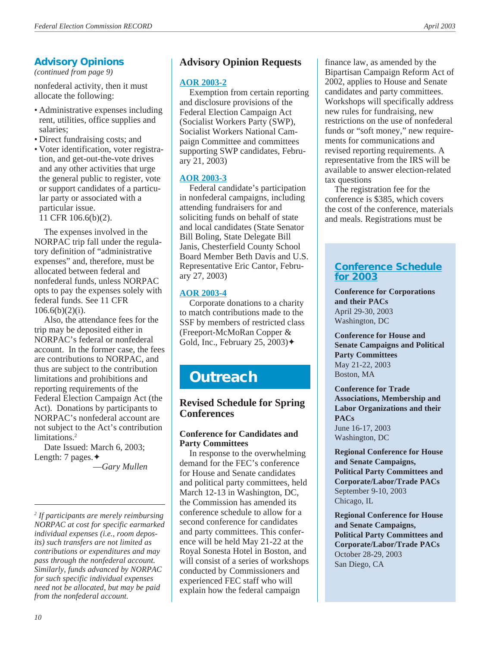# **Advisory Opinions**

*(continued from page 9)*

nonfederal activity, then it must allocate the following:

- Administrative expenses including rent, utilities, office supplies and salaries;
- Direct fundraising costs; and
- Voter identification, voter registration, and get-out-the-vote drives and any other activities that urge the general public to register, vote or support candidates of a particular party or associated with a particular issue.

11 CFR 106.6(b)(2).

The expenses involved in the NORPAC trip fall under the regulatory definition of "administrative expenses" and, therefore, must be allocated between federal and nonfederal funds, unless NORPAC opts to pay the expenses solely with federal funds. See 11 CFR  $106.6(b)(2)(i)$ .

Also, the attendance fees for the trip may be deposited either in NORPAC's federal or nonfederal account. In the former case, the fees are contributions to NORPAC, and thus are subject to the contribution limitations and prohibitions and reporting requirements of the Federal Election Campaign Act (the Act). Donations by participants to NORPAC's nonfederal account are not subject to the Act's contribution limitations.<sup>2</sup>

Date Issued: March 6, 2003; Length: 7 pages.✦

—*Gary Mullen*

## **[Advisory Opinion Requests](http://www.fec.gov/aoreq.html)**

### **[AOR 2003-2](http://saos.fec.gov/saos/searchao)**

Exemption from certain reporting and disclosure provisions of the Federal Election Campaign Act (Socialist Workers Party (SWP), Socialist Workers National Campaign Committee and committees supporting SWP candidates, February 21, 2003)

### **[AOR 2003-3](http://saos.fec.gov/saos/searchao)**

Federal candidate's participation in nonfederal campaigns, including attending fundraisers for and soliciting funds on behalf of state and local candidates (State Senator Bill Boling, State Delegate Bill Janis, Chesterfield County School Board Member Beth Davis and U.S. Representative Eric Cantor, February 27, 2003)

## **[AOR 2003-4](http://saos.fec.gov/saos/searchao)**

Corporate donations to a charity to match contributions made to the SSF by members of restricted class (Freeport-McMoRan Copper & Gold, Inc., February 25, 2003) $\triangleleft$ 

# **Outreach**

## **Revised Schedule for Spring Conferences**

#### **Conference for Candidates and Party Committees**

In response to the overwhelming demand for the FEC's conference for House and Senate candidates and political party committees, held March 12-13 in Washington, DC, the Commission has amended its conference schedule to allow for a second conference for candidates and party committees. This conference will be held May 21-22 at the Royal Sonesta Hotel in Boston, and will consist of a series of workshops conducted by Commissioners and experienced FEC staff who will explain how the federal campaign

finance law, as amended by the Bipartisan Campaign Reform Act of 2002, applies to House and Senate candidates and party committees. Workshops will specifically address new rules for fundraising, new restrictions on the use of nonfederal funds or "soft money," new requirements for communications and revised reporting requirements. A representative from the IRS will be available to answer election-related tax questions

The registration fee for the conference is \$385, which covers the cost of the conference, materials and meals. Registrations must be

## **[Conference Schedule](http://www.fec.gov/pages/infosvc.htm#Conferences) [for 2003](http://www.fec.gov/pages/infosvc.htm#Conferences)**

**Conference for Corporations and their PACs** April 29-30, 2003 Washington, DC

**Conference for House and Senate Campaigns and Political Party Committees** May 21-22, 2003 Boston, MA

**Conference for Trade Associations, Membership and Labor Organizations and their PACs** June 16-17, 2003 Washington, DC

**Regional Conference for House and Senate Campaigns, Political Party Committees and Corporate/Labor/Trade PACs** September 9-10, 2003 Chicago, IL

**Regional Conference for House and Senate Campaigns, Political Party Committees and Corporate/Labor/Trade PACs** October 28-29, 2003 San Diego, CA

*<sup>2</sup> If participants are merely reimbursing NORPAC at cost for specific earmarked individual expenses (i.e., room deposits) such transfers are not limited as contributions or expenditures and may pass through the nonfederal account. Similarly, funds advanced by NORPAC for such specific individual expenses need not be allocated, but may be paid from the nonfederal account.*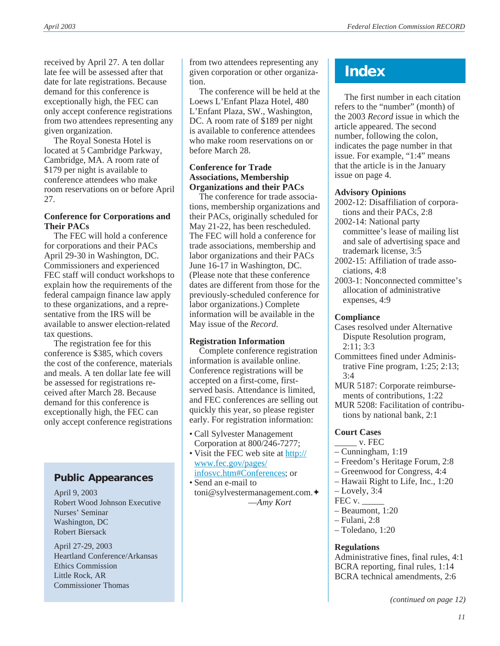received by April 27. A ten dollar late fee will be assessed after that date for late registrations. Because demand for this conference is exceptionally high, the FEC can only accept conference registrations from two attendees representing any given organization.

The Royal Sonesta Hotel is located at 5 Cambridge Parkway, Cambridge, MA. A room rate of \$179 per night is available to conference attendees who make room reservations on or before April 27.

#### **Conference for Corporations and Their PACs**

The FEC will hold a conference for corporations and their PACs April 29-30 in Washington, DC. Commissioners and experienced FEC staff will conduct workshops to explain how the requirements of the federal campaign finance law apply to these organizations, and a representative from the IRS will be available to answer election-related tax questions.

The registration fee for this conference is \$385, which covers the cost of the conference, materials and meals. A ten dollar late fee will be assessed for registrations received after March 28. Because demand for this conference is exceptionally high, the FEC can only accept conference registrations

# **Public Appearances**

April 9, 2003 Robert Wood Johnson Executive Nurses' Seminar Washington, DC Robert Biersack

April 27-29, 2003 Heartland Conference/Arkansas Ethics Commission Little Rock, AR Commissioner Thomas

from two attendees representing any given corporation or other organization.

The conference will be held at the Loews L'Enfant Plaza Hotel, 480 L'Enfant Plaza, SW., Washington, DC. A room rate of \$189 per night is available to conference attendees who make room reservations on or before March 28.

### **Conference for Trade Associations, Membership Organizations and their PACs**

The conference for trade associations, membership organizations and their PACs, originally scheduled for May 21-22, has been rescheduled. The FEC will hold a conference for trade associations, membership and labor organizations and their PACs June 16-17 in Washington, DC. (Please note that these conference dates are different from those for the previously-scheduled conference for labor organizations.) Complete information will be available in the May issue of the *Record*.

## **Registration Information**

Complete conference registration information is available online. Conference registrations will be accepted on a first-come, firstserved basis. Attendance is limited, and FEC conferences are selling out quickly this year, so please register early. For registration information:

- Call Sylvester Management Corporation at 800/246-7277;
- Visit the FEC web site at [http://](http://www.fec.gov/pages/infosvc.htm#Conferences) [www.fec.gov/pages/](http://www.fec.gov/pages/infosvc.htm#Conferences) [infosvc.htm#Conferences](http://www.fec.gov/pages/infosvc.htm#Conferences); or
- Send an e-mail to toni@sylvestermanagement.com.✦ —*Amy Kort*

# **Index**

The first number in each citation refers to the "number" (month) of the 2003 *Record* issue in which the article appeared. The second number, following the colon, indicates the page number in that issue. For example, "1:4" means that the article is in the January issue on page 4.

## **Advisory Opinions**

- 2002-12: Disaffiliation of corporations and their PACs, 2:8
- 2002-14: National party committee's lease of mailing list and sale of advertising space and trademark license, 3:5
- 2002-15: Affiliation of trade associations, 4:8
- 2003-1: Nonconnected committee's allocation of administrative expenses, 4:9

## **Compliance**

- Cases resolved under Alternative Dispute Resolution program, 2:11; 3:3
- Committees fined under Administrative Fine program, 1:25; 2:13;  $3:4$
- MUR 5187: Corporate reimbursements of contributions, 1:22

MUR 5208: Facilitation of contributions by national bank, 2:1

## **Court Cases**

- \_\_\_\_\_ v. FEC
- Cunningham, 1:19
- Freedom's Heritage Forum, 2:8
- Greenwood for Congress, 4:4
- Hawaii Right to Life, Inc., 1:20
- Lovely, 3:4
- FEC v. \_\_\_\_\_
- Beaumont, 1:20
- Fulani, 2:8
- Toledano, 1:20

## **Regulations**

Administrative fines, final rules, 4:1 BCRA reporting, final rules, 1:14 BCRA technical amendments, 2:6

*(continued on page 12)*